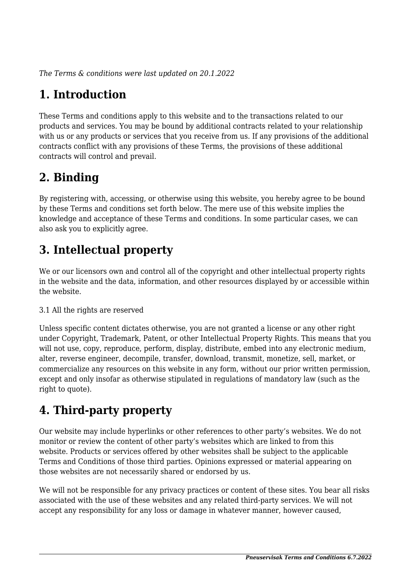*The Terms & conditions were last updated on 20.1.2022*

# **1. Introduction**

These Terms and conditions apply to this website and to the transactions related to our products and services. You may be bound by additional contracts related to your relationship with us or any products or services that you receive from us. If any provisions of the additional contracts conflict with any provisions of these Terms, the provisions of these additional contracts will control and prevail.

## **2. Binding**

By registering with, accessing, or otherwise using this website, you hereby agree to be bound by these Terms and conditions set forth below. The mere use of this website implies the knowledge and acceptance of these Terms and conditions. In some particular cases, we can also ask you to explicitly agree.

# **3. Intellectual property**

We or our licensors own and control all of the copyright and other intellectual property rights in the website and the data, information, and other resources displayed by or accessible within the website.

#### 3.1 All the rights are reserved

Unless specific content dictates otherwise, you are not granted a license or any other right under Copyright, Trademark, Patent, or other Intellectual Property Rights. This means that you will not use, copy, reproduce, perform, display, distribute, embed into any electronic medium, alter, reverse engineer, decompile, transfer, download, transmit, monetize, sell, market, or commercialize any resources on this website in any form, without our prior written permission, except and only insofar as otherwise stipulated in regulations of mandatory law (such as the right to quote).

# **4. Third-party property**

Our website may include hyperlinks or other references to other party's websites. We do not monitor or review the content of other party's websites which are linked to from this website. Products or services offered by other websites shall be subject to the applicable Terms and Conditions of those third parties. Opinions expressed or material appearing on those websites are not necessarily shared or endorsed by us.

We will not be responsible for any privacy practices or content of these sites. You bear all risks associated with the use of these websites and any related third-party services. We will not accept any responsibility for any loss or damage in whatever manner, however caused,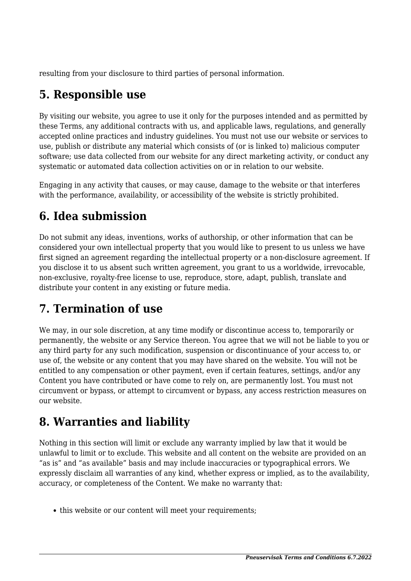resulting from your disclosure to third parties of personal information.

## **5. Responsible use**

By visiting our website, you agree to use it only for the purposes intended and as permitted by these Terms, any additional contracts with us, and applicable laws, regulations, and generally accepted online practices and industry guidelines. You must not use our website or services to use, publish or distribute any material which consists of (or is linked to) malicious computer software; use data collected from our website for any direct marketing activity, or conduct any systematic or automated data collection activities on or in relation to our website.

Engaging in any activity that causes, or may cause, damage to the website or that interferes with the performance, availability, or accessibility of the website is strictly prohibited.

# **6. Idea submission**

Do not submit any ideas, inventions, works of authorship, or other information that can be considered your own intellectual property that you would like to present to us unless we have first signed an agreement regarding the intellectual property or a non-disclosure agreement. If you disclose it to us absent such written agreement, you grant to us a worldwide, irrevocable, non-exclusive, royalty-free license to use, reproduce, store, adapt, publish, translate and distribute your content in any existing or future media.

## **7. Termination of use**

We may, in our sole discretion, at any time modify or discontinue access to, temporarily or permanently, the website or any Service thereon. You agree that we will not be liable to you or any third party for any such modification, suspension or discontinuance of your access to, or use of, the website or any content that you may have shared on the website. You will not be entitled to any compensation or other payment, even if certain features, settings, and/or any Content you have contributed or have come to rely on, are permanently lost. You must not circumvent or bypass, or attempt to circumvent or bypass, any access restriction measures on our website.

## **8. Warranties and liability**

Nothing in this section will limit or exclude any warranty implied by law that it would be unlawful to limit or to exclude. This website and all content on the website are provided on an "as is" and "as available" basis and may include inaccuracies or typographical errors. We expressly disclaim all warranties of any kind, whether express or implied, as to the availability, accuracy, or completeness of the Content. We make no warranty that:

• this website or our content will meet your requirements;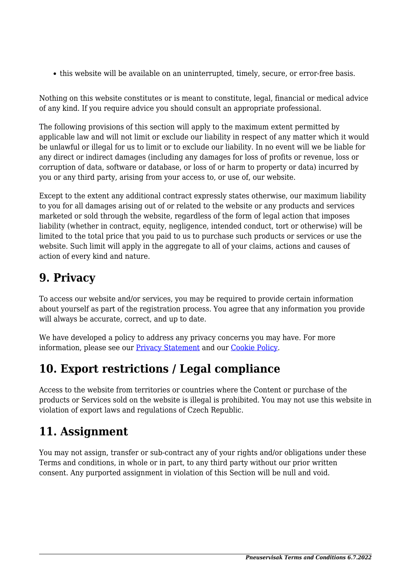this website will be available on an uninterrupted, timely, secure, or error-free basis.

Nothing on this website constitutes or is meant to constitute, legal, financial or medical advice of any kind. If you require advice you should consult an appropriate professional.

The following provisions of this section will apply to the maximum extent permitted by applicable law and will not limit or exclude our liability in respect of any matter which it would be unlawful or illegal for us to limit or to exclude our liability. In no event will we be liable for any direct or indirect damages (including any damages for loss of profits or revenue, loss or corruption of data, software or database, or loss of or harm to property or data) incurred by you or any third party, arising from your access to, or use of, our website.

Except to the extent any additional contract expressly states otherwise, our maximum liability to you for all damages arising out of or related to the website or any products and services marketed or sold through the website, regardless of the form of legal action that imposes liability (whether in contract, equity, negligence, intended conduct, tort or otherwise) will be limited to the total price that you paid to us to purchase such products or services or use the website. Such limit will apply in the aggregate to all of your claims, actions and causes of action of every kind and nature.

#### **9. Privacy**

To access our website and/or services, you may be required to provide certain information about yourself as part of the registration process. You agree that any information you provide will always be accurate, correct, and up to date.

We have developed a policy to address any privacy concerns you may have. For more information, please see our **Privacy Statement** and our **Cookie Policy**.

#### **10. Export restrictions / Legal compliance**

Access to the website from territories or countries where the Content or purchase of the products or Services sold on the website is illegal is prohibited. You may not use this website in violation of export laws and regulations of Czech Republic.

## **11. Assignment**

You may not assign, transfer or sub-contract any of your rights and/or obligations under these Terms and conditions, in whole or in part, to any third party without our prior written consent. Any purported assignment in violation of this Section will be null and void.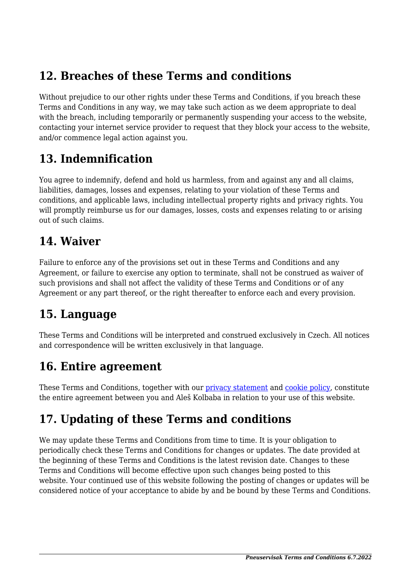#### **12. Breaches of these Terms and conditions**

Without prejudice to our other rights under these Terms and Conditions, if you breach these Terms and Conditions in any way, we may take such action as we deem appropriate to deal with the breach, including temporarily or permanently suspending your access to the website, contacting your internet service provider to request that they block your access to the website, and/or commence legal action against you.

#### **13. Indemnification**

You agree to indemnify, defend and hold us harmless, from and against any and all claims, liabilities, damages, losses and expenses, relating to your violation of these Terms and conditions, and applicable laws, including intellectual property rights and privacy rights. You will promptly reimburse us for our damages, losses, costs and expenses relating to or arising out of such claims.

#### **14. Waiver**

Failure to enforce any of the provisions set out in these Terms and Conditions and any Agreement, or failure to exercise any option to terminate, shall not be construed as waiver of such provisions and shall not affect the validity of these Terms and Conditions or of any Agreement or any part thereof, or the right thereafter to enforce each and every provision.

#### **15. Language**

These Terms and Conditions will be interpreted and construed exclusively in Czech. All notices and correspondence will be written exclusively in that language.

## **16. Entire agreement**

These Terms and Conditions, together with our *privacy* statement and *cookie policy*, constitute the entire agreement between you and Aleš Kolbaba in relation to your use of this website.

## **17. Updating of these Terms and conditions**

We may update these Terms and Conditions from time to time. It is your obligation to periodically check these Terms and Conditions for changes or updates. The date provided at the beginning of these Terms and Conditions is the latest revision date. Changes to these Terms and Conditions will become effective upon such changes being posted to this website. Your continued use of this website following the posting of changes or updates will be considered notice of your acceptance to abide by and be bound by these Terms and Conditions.